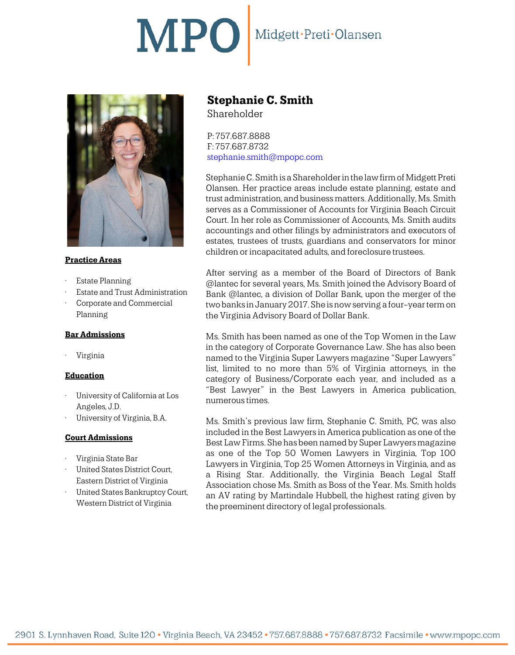# MPO Midgett·Preti·Olansen



# **Practice Areas**

- **Estate Planning**
- Estate and Trust Administration
- Corporate and Commercial Planning

### **Bar Admissions**

• Virginia

# **Education**

- University of California at Los Angeles, J.D.
- University of Virginia, B.A.

### **Court Admissions**

- Virginia State Bar
- United States District Court, Eastern District of Virginia
- United States Bankruptcy Court, Western District of Virginia

# **Stephanie C. Smith**

Shareholder

P: 757.687.8888 F: 757.687.8732 [stephanie.smith@mpopc.com](mailto:stephanie.smith@mpopc.com)

Stephanie C. Smith is a Shareholder in the law firm of Midgett Preti Olansen. Her practice areas include estate planning, estate and trust administration, and business matters. Additionally, Ms. Smith serves as a Commissioner of Accounts for Virginia Beach Circuit Court. In her role as Commissioner of Accounts, Ms. Smith audits accountings and other filings by administrators and executors of estates, trustees of trusts, guardians and conservators for minor children or incapacitated adults, and foreclosure trustees.

After serving as a member of the Board of Directors of Bank @lantec for several years, Ms. Smith joined the Advisory Board of Bank @lantec, a division of Dollar Bank, upon the merger of the two banks in January 2017. She is now serving a four-year term on the Virginia Advisory Board of Dollar Bank.

Ms. Smith has been named as one of the Top Women in the Law in the category of Corporate Governance Law. She has also been named to the Virginia Super Lawyers magazine "Super Lawyers" list, limited to no more than 5% of Virginia attorneys, in the category of Business/Corporate each year, and included as a "Best Lawyer" in the Best Lawyers in America publication, numerous times.

Ms. Smith's previous law firm, Stephanie C. Smith, PC, was also included in the Best Lawyers in America publication as one of the Best Law Firms. She has been named by Super Lawyers magazine as one of the Top 50 Women Lawyers in Virginia, Top 100 Lawyers in Virginia, Top 25 Women Attorneys in Virginia, and as a Rising Star. Additionally, the Virginia Beach Legal Staff Association chose Ms. Smith as Boss of the Year. Ms. Smith holds an AV rating by Martindale Hubbell, the highest rating given by the preeminent directory of legal professionals.